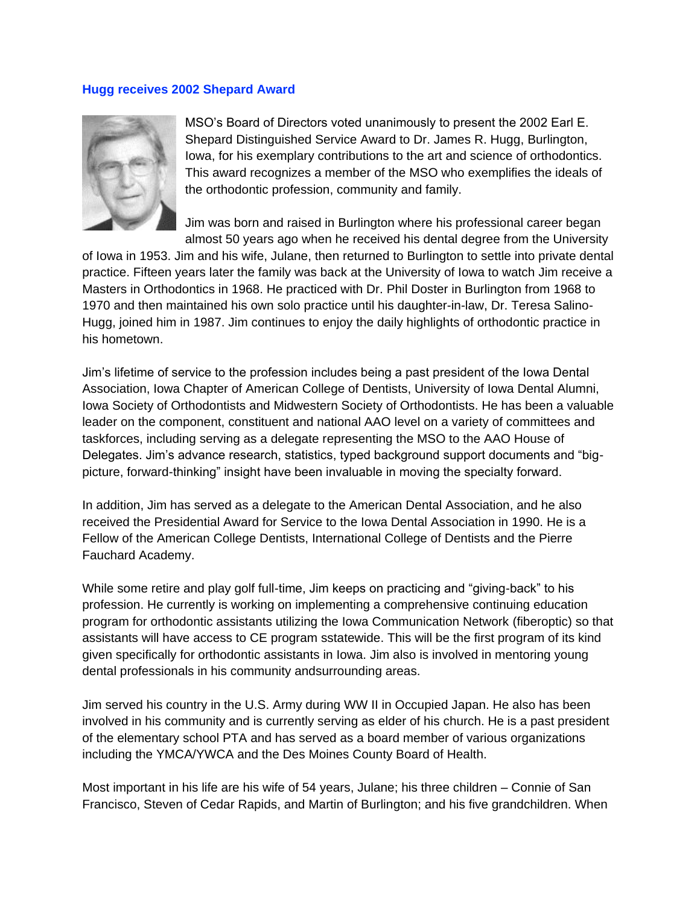## **Hugg receives 2002 Shepard Award**



MSO's Board of Directors voted unanimously to present the 2002 Earl E. Shepard Distinguished Service Award to Dr. James R. Hugg, Burlington, Iowa, for his exemplary contributions to the art and science of orthodontics. This award recognizes a member of the MSO who exemplifies the ideals of the orthodontic profession, community and family.

Jim was born and raised in Burlington where his professional career began almost 50 years ago when he received his dental degree from the University

of Iowa in 1953. Jim and his wife, Julane, then returned to Burlington to settle into private dental practice. Fifteen years later the family was back at the University of Iowa to watch Jim receive a Masters in Orthodontics in 1968. He practiced with Dr. Phil Doster in Burlington from 1968 to 1970 and then maintained his own solo practice until his daughter-in-law, Dr. Teresa Salino-Hugg, joined him in 1987. Jim continues to enjoy the daily highlights of orthodontic practice in his hometown.

Jim's lifetime of service to the profession includes being a past president of the Iowa Dental Association, Iowa Chapter of American College of Dentists, University of Iowa Dental Alumni, Iowa Society of Orthodontists and Midwestern Society of Orthodontists. He has been a valuable leader on the component, constituent and national AAO level on a variety of committees and taskforces, including serving as a delegate representing the MSO to the AAO House of Delegates. Jim's advance research, statistics, typed background support documents and "bigpicture, forward-thinking" insight have been invaluable in moving the specialty forward.

In addition, Jim has served as a delegate to the American Dental Association, and he also received the Presidential Award for Service to the Iowa Dental Association in 1990. He is a Fellow of the American College Dentists, International College of Dentists and the Pierre Fauchard Academy.

While some retire and play golf full-time, Jim keeps on practicing and "giving-back" to his profession. He currently is working on implementing a comprehensive continuing education program for orthodontic assistants utilizing the Iowa Communication Network (fiberoptic) so that assistants will have access to CE program sstatewide. This will be the first program of its kind given specifically for orthodontic assistants in Iowa. Jim also is involved in mentoring young dental professionals in his community andsurrounding areas.

Jim served his country in the U.S. Army during WW II in Occupied Japan. He also has been involved in his community and is currently serving as elder of his church. He is a past president of the elementary school PTA and has served as a board member of various organizations including the YMCA/YWCA and the Des Moines County Board of Health.

Most important in his life are his wife of 54 years, Julane; his three children – Connie of San Francisco, Steven of Cedar Rapids, and Martin of Burlington; and his five grandchildren. When